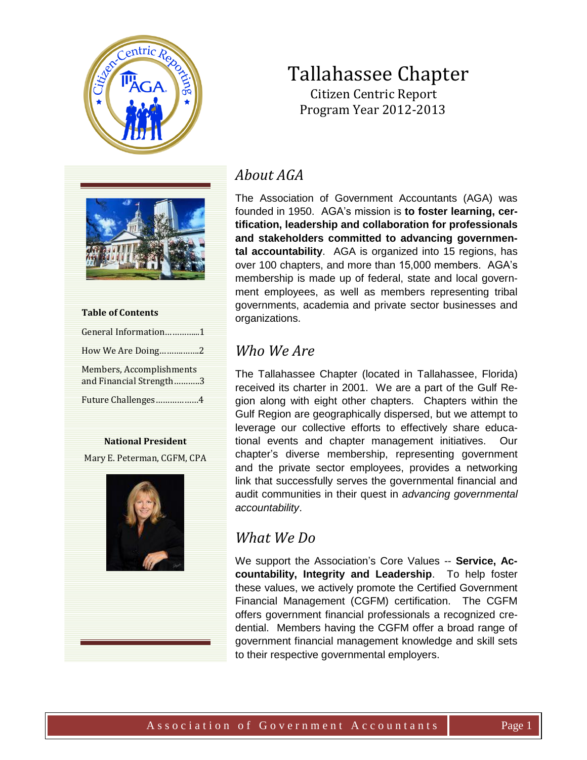

# Tallahassee Chapter Citizen Centric Report

Program Year 2012-2013



| <b>Table of Contents</b>                            |
|-----------------------------------------------------|
| General Information1                                |
| How We Are Doing2                                   |
| Members, Accomplishments<br>and Financial Strength3 |
| Future Challenges4                                  |

#### **National President**

Mary E. Peterman, CGFM, CPA



# *About AGA*

The Association of Government Accountants (AGA) was founded in 1950. AGA's mission is **to foster learning, certification, leadership and collaboration for professionals and stakeholders committed to advancing governmental accountability**. AGA is organized into 15 regions, has over 100 chapters, and more than 15,000 members. AGA's membership is made up of federal, state and local government employees, as well as members representing tribal governments, academia and private sector businesses and organizations.

# *Who We Are*

The Tallahassee Chapter (located in Tallahassee, Florida) received its charter in 2001. We are a part of the Gulf Region along with eight other chapters. Chapters within the Gulf Region are geographically dispersed, but we attempt to leverage our collective efforts to effectively share educational events and chapter management initiatives. Our chapter's diverse membership, representing government and the private sector employees, provides a networking link that successfully serves the governmental financial and audit communities in their quest in *advancing governmental accountability*.

## *What We Do*

We support the Association's Core Values -- **Service, Accountability, Integrity and Leadership**. To help foster these values, we actively promote the Certified Government Financial Management (CGFM) certification. The CGFM offers government financial professionals a recognized credential. Members having the CGFM offer a broad range of government financial management knowledge and skill sets to their respective governmental employers.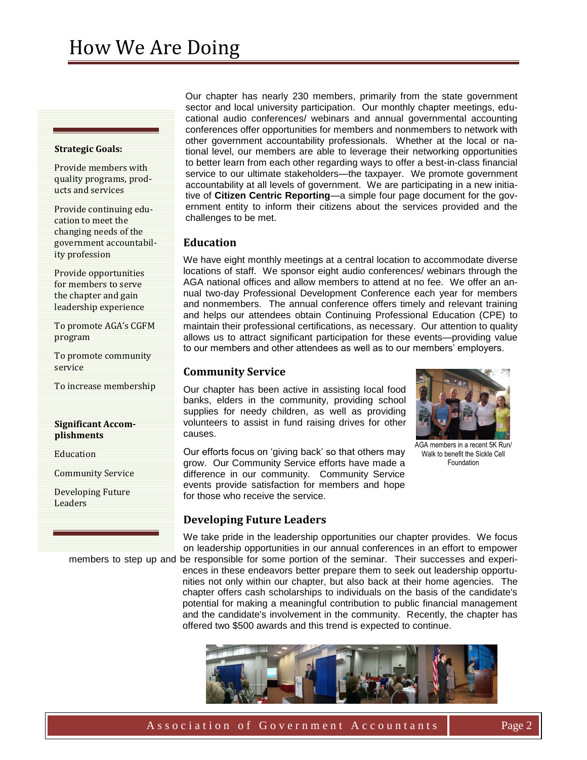#### **Strategic Goals:**

Provide members with quality programs, products and services

Provide continuing education to meet the changing needs of the government accountability profession

Provide opportunities for members to serve the chapter and gain leadership experience

To promote AGA's CGFM program

To promote community service

To increase membership

#### **Significant Accomplishments**

Education

Community Service

Developing Future Leaders

Our chapter has nearly 230 members, primarily from the state government sector and local university participation. Our monthly chapter meetings, educational audio conferences/ webinars and annual governmental accounting conferences offer opportunities for members and nonmembers to network with other government accountability professionals. Whether at the local or national level, our members are able to leverage their networking opportunities to better learn from each other regarding ways to offer a best-in-class financial service to our ultimate stakeholders—the taxpayer. We promote government accountability at all levels of government. We are participating in a new initiative of **Citizen Centric Reporting**—a simple four page document for the government entity to inform their citizens about the services provided and the challenges to be met.

### **Education**

We have eight monthly meetings at a central location to accommodate diverse locations of staff. We sponsor eight audio conferences/ webinars through the AGA national offices and allow members to attend at no fee. We offer an annual two-day Professional Development Conference each year for members and nonmembers. The annual conference offers timely and relevant training and helps our attendees obtain Continuing Professional Education (CPE) to maintain their professional certifications, as necessary. Our attention to quality allows us to attract significant participation for these events—providing value to our members and other attendees as well as to our members' employers.

### **Community Service**

Our chapter has been active in assisting local food banks, elders in the community, providing school supplies for needy children, as well as providing volunteers to assist in fund raising drives for other causes.

AGA members in a recent 5K Run/ Walk to benefit the Sickle Cell Foundation

Our efforts focus on 'giving back' so that others may grow. Our Community Service efforts have made a difference in our community. Community Service events provide satisfaction for members and hope for those who receive the service.

## **Developing Future Leaders**

We take pride in the leadership opportunities our chapter provides. We focus on leadership opportunities in our annual conferences in an effort to empower members to step up and be responsible for some portion of the seminar. Their successes and experi-

ences in these endeavors better prepare them to seek out leadership opportunities not only within our chapter, but also back at their home agencies. The chapter offers cash scholarships to individuals on the basis of the candidate's potential for making a meaningful contribution to public financial management and the candidate's involvement in the community. Recently, the chapter has offered two \$500 awards and this trend is expected to continue.

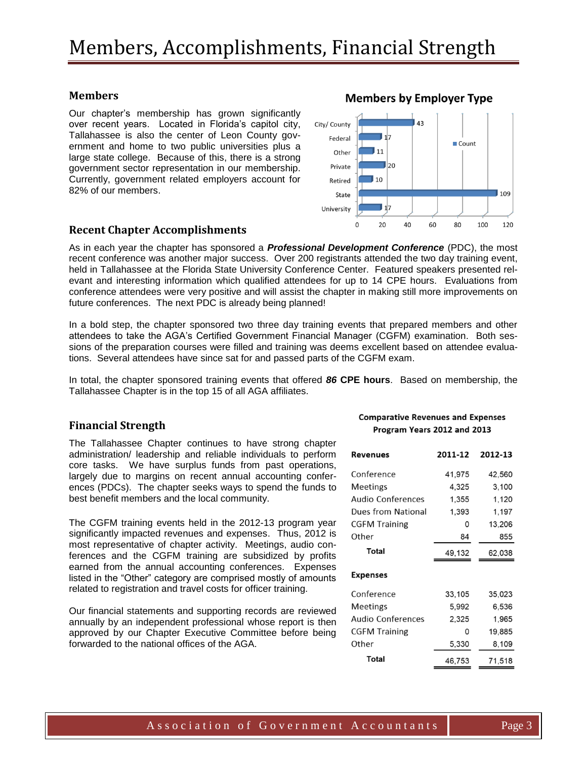## **Members**

Our chapter's membership has grown significantly over recent years. Located in Florida's capitol city, Tallahassee is also the center of Leon County government and home to two public universities plus a large state college. Because of this, there is a strong government sector representation in our membership. Currently, government related employers account for 82% of our members.

### **Recent Chapter Accomplishments**

As in each year the chapter has sponsored a *Professional Development Conference* (PDC), the most recent conference was another major success. Over 200 registrants attended the two day training event, held in Tallahassee at the Florida State University Conference Center. Featured speakers presented relevant and interesting information which qualified attendees for up to 14 CPE hours. Evaluations from conference attendees were very positive and will assist the chapter in making still more improvements on future conferences. The next PDC is already being planned!

In a bold step, the chapter sponsored two three day training events that prepared members and other attendees to take the AGA's Certified Government Financial Manager (CGFM) examination. Both sessions of the preparation courses were filled and training was deems excellent based on attendee evaluations. Several attendees have since sat for and passed parts of the CGFM exam.

In total, the chapter sponsored training events that offered *86* **CPE hours**. Based on membership, the Tallahassee Chapter is in the top 15 of all AGA affiliates.

### **Financial Strength**

The Tallahassee Chapter continues to have strong chapter administration/ leadership and reliable individuals to perform core tasks. We have surplus funds from past operations, largely due to margins on recent annual accounting conferences (PDCs). The chapter seeks ways to spend the funds to best benefit members and the local community.

The CGFM training events held in the 2012-13 program year significantly impacted revenues and expenses. Thus, 2012 is most representative of chapter activity. Meetings, audio conferences and the CGFM training are subsidized by profits earned from the annual accounting conferences. Expenses listed in the "Other" category are comprised mostly of amounts related to registration and travel costs for officer training.

Our financial statements and supporting records are reviewed annually by an independent professional whose report is then approved by our Chapter Executive Committee before being forwarded to the national offices of the AGA.

#### **Comparative Revenues and Expenses** Program Years 2012 and 2013

| Revenues                 | 2011-12 | 2012-13 |
|--------------------------|---------|---------|
| Conference               | 41,975  | 42,560  |
| <b>Meetings</b>          | 4.325   | 3,100   |
| Audio Conferences        | 1,355   | 1,120   |
| Dues from National       | 1,393   | 1,197   |
| <b>CGFM Training</b>     | 0       | 13,206  |
| Other                    | 84      | 855     |
| Total                    | 49,132  | 62,038  |
| <b>Expenses</b>          |         |         |
| Conference               | 33,105  | 35,023  |
| <b>Meetings</b>          | 5,992   | 6,536   |
| <b>Audio Conferences</b> | 2,325   | 1,965   |
| <b>CGFM Training</b>     | O       | 19,885  |
|                          |         |         |
| Other                    | 5,330   | 8,109   |



**Members by Employer Type** 

### Association of Government Accountants | Page 3